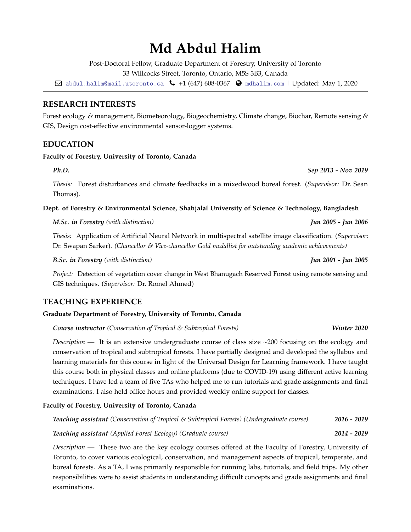# **Md Abdul Halim**

Post-Doctoral Fellow, Graduate Department of Forestry, University of Toronto

33 Willcocks Street, Toronto, Ontario, M5S 3B3, Canada

 $\boxtimes$  [abdul.halim@mail.utoronto.ca](mailto:)  $\bigcup$  +1 (647) 608-0367  $\bigodot$  [mdhalim.com](http://mdhalim.com) | Updated: May 1, 2020

# **RESEARCH INTERESTS**

Forest ecology *&* management, Biometeorology, Biogeochemistry, Climate change, Biochar, Remote sensing *&* GIS, Design cost-effective environmental sensor-logger systems.

# **EDUCATION**

### **Faculty of Forestry, University of Toronto, Canada**

*Thesis:* Forest disturbances and climate feedbacks in a mixedwood boreal forest. (*Supervisor:* Dr. Sean Thomas).

**Dept. of Forestry** *&* **Environmental Science, Shahjalal University of Science** *&* **Technology, Bangladesh**

### *M.Sc. in Forestry (with distinction) Jun 2005 - Jun 2006*

*Thesis:* Application of Artificial Neural Network in multispectral satellite image classification. (*Supervisor:* Dr. Swapan Sarker). *(Chancellor & Vice-chancellor Gold medallist for outstanding academic achievements)*

*B.Sc. in Forestry (with distinction) Jun 2001 - Jun 2005*

*Project:* Detection of vegetation cover change in West Bhanugach Reserved Forest using remote sensing and GIS techniques. (*Supervisor:* Dr. Romel Ahmed)

# **TEACHING EXPERIENCE**

# **Graduate Department of Forestry, University of Toronto, Canada**

*Course instructor (Conservation of Tropical & Subtropical Forests) Winter 2020*

*Description* — It is an extensive undergraduate course of class size ~200 focusing on the ecology and conservation of tropical and subtropical forests. I have partially designed and developed the syllabus and learning materials for this course in light of the Universal Design for Learning framework. I have taught this course both in physical classes and online platforms (due to COVID-19) using different active learning techniques. I have led a team of five TAs who helped me to run tutorials and grade assignments and final examinations. I also held office hours and provided weekly online support for classes.

# **Faculty of Forestry, University of Toronto, Canada**

| Teaching assistant (Conservation of Tropical & Subtropical Forests) (Undergraduate course) | 2016 - 2019 |
|--------------------------------------------------------------------------------------------|-------------|
| <b>Teaching assistant</b> (Applied Forest Ecology) (Graduate course)                       | 2014 - 2019 |

*Description —* These two are the key ecology courses offered at the Faculty of Forestry, University of Toronto, to cover various ecological, conservation, and management aspects of tropical, temperate, and boreal forests. As a TA, I was primarily responsible for running labs, tutorials, and field trips. My other responsibilities were to assist students in understanding difficult concepts and grade assignments and final examinations.

*Ph.D. Sep 2013 - Nov 2019*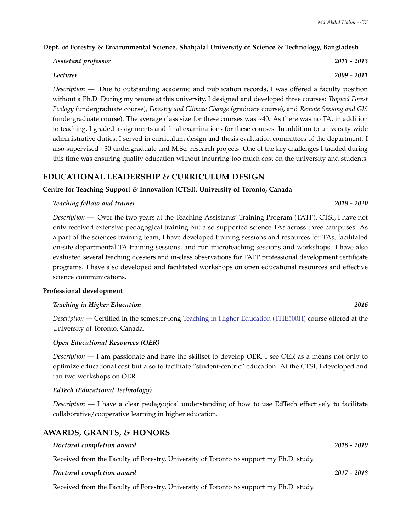#### **Dept. of Forestry** *&* **Environmental Science, Shahjalal University of Science** *&* **Technology, Bangladesh**

| Assistant professor | 2011 - 2013 |
|---------------------|-------------|
|                     |             |

### *Lecturer 2009 - 2011*

*Description —* Due to outstanding academic and publication records, I was offered a faculty position without a Ph.D. During my tenure at this university, I designed and developed three courses: *Tropical Forest Ecology* (undergraduate course), *Forestry and Climate Change* (graduate course), and *Remote Sensing and GIS* (undergraduate course). The average class size for these courses was ~40. As there was no TA, in addition to teaching, I graded assignments and final examinations for these courses. In addition to university-wide administrative duties, I served in curriculum design and thesis evaluation committees of the department. I also supervised ~30 undergraduate and M.Sc. research projects. One of the key challenges I tackled during this time was ensuring quality education without incurring too much cost on the university and students.

# **EDUCATIONAL LEADERSHIP** *&* **CURRICULUM DESIGN**

#### **Centre for Teaching Support** *&* **Innovation (CTSI), University of Toronto, Canada**

#### *Teaching fellow and trainer 2018 - 2020*

*Description —* Over the two years at the Teaching Assistants' Training Program (TATP), CTSI, I have not only received extensive pedagogical training but also supported science TAs across three campuses. As a part of the sciences training team, I have developed training sessions and resources for TAs, facilitated on-site departmental TA training sessions, and run microteaching sessions and workshops. I have also evaluated several teaching dossiers and in-class observations for TATP professional development certificate programs. I have also developed and facilitated workshops on open educational resources and effective science communications.

#### **Professional development**

#### *Teaching in Higher Education 2016*

*Description —* Certified in the semester-long [Teaching in Higher Education \(THE500H\)](http://wdw.utoronto.ca/index.php/programs/the500/the5001/) course offered at the University of Toronto, Canada.

### *Open Educational Resources (OER)*

*Description —* I am passionate and have the skillset to develop OER. I see OER as a means not only to optimize educational cost but also to facilitate "student-centric" education. At the CTSI, I developed and ran two workshops on OER.

### *EdTech (Educational Technology)*

*Description —* I have a clear pedagogical understanding of how to use EdTech effectively to facilitate collaborative/cooperative learning in higher education.

# **AWARDS, GRANTS,** *&* **HONORS**

| Doctoral completion award                                                               | $2018 - 2019$ |
|-----------------------------------------------------------------------------------------|---------------|
| Received from the Faculty of Forestry, University of Toronto to support my Ph.D. study. |               |
| Doctoral completion award                                                               | 2017 - 2018   |

### Received from the Faculty of Forestry, University of Toronto to support my Ph.D. study.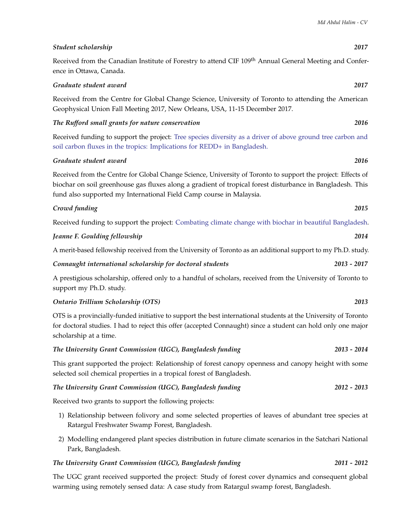# Received from the Canadian Institute of Forestry to attend CIF 109<sup>th</sup> Annual General Meeting and Conference in Ottawa, Canada.

# *Graduate student award 2017*

Received from the Centre for Global Change Science, University of Toronto to attending the American Geophysical Union Fall Meeting 2017, New Orleans, USA, 11-15 December 2017.

*The Rufford small grants for nature conservation 2016*

Received funding to support the project: [Tree species diversity as a driver of above ground tree carbon and](http://www.rufford.org/projects/md_abdul_halim) [soil carbon fluxes in the tropics: Implications for REDD+ in Bangladesh.](http://www.rufford.org/projects/md_abdul_halim)

### *Graduate student award 2016*

Received from the Centre for Global Change Science, University of Toronto to support the project: Effects of biochar on soil greenhouse gas fluxes along a gradient of tropical forest disturbance in Bangladesh. This fund also supported my International Field Camp course in Malaysia.

### *Crowd funding 2015*

Received funding to support the project: [Combating climate change with biochar in beautiful Bangladesh.](https://experiment.com/projects/combating-climate-change-with-biochar-in-beautiful-bangladesh/discussion)

| Jeanne F. Goulding fellowship | 2014 |
|-------------------------------|------|
|                               |      |

A merit-based fellowship received from the University of Toronto as an additional support to my Ph.D. study.

*Connaught international scholarship for doctoral students 2013 - 2017*

A prestigious scholarship, offered only to a handful of scholars, received from the University of Toronto to support my Ph.D. study.

### *Ontario Trillium Scholarship (OTS) 2013*

OTS is a provincially-funded initiative to support the best international students at the University of Toronto for doctoral studies. I had to reject this offer (accepted Connaught) since a student can hold only one major scholarship at a time.

### *The University Grant Commission (UGC), Bangladesh funding 2013 - 2014*

This grant supported the project: Relationship of forest canopy openness and canopy height with some selected soil chemical properties in a tropical forest of Bangladesh.

# *The University Grant Commission (UGC), Bangladesh funding 2012 - 2013*

Received two grants to support the following projects:

- 1) Relationship between folivory and some selected properties of leaves of abundant tree species at Ratargul Freshwater Swamp Forest, Bangladesh.
- 2) Modelling endangered plant species distribution in future climate scenarios in the Satchari National Park, Bangladesh.

### *The University Grant Commission (UGC), Bangladesh funding 2011 - 2012*

The UGC grant received supported the project: Study of forest cover dynamics and consequent global warming using remotely sensed data: A case study from Ratargul swamp forest, Bangladesh.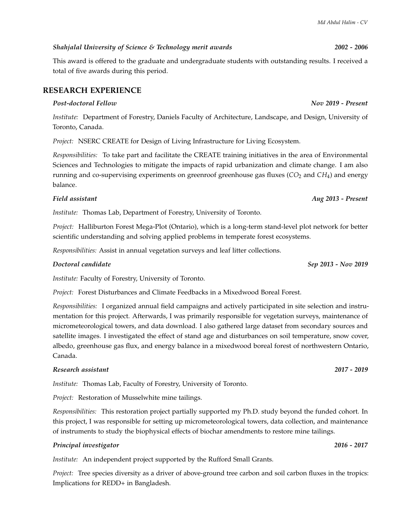# *Shahjalal University of Science & Technology merit awards 2002 - 2006*

This award is offered to the graduate and undergraduate students with outstanding results. I received a total of five awards during this period.

# **RESEARCH EXPERIENCE**

### *Post-doctoral Fellow Nov 2019 - Present*

*Institute:* Department of Forestry, Daniels Faculty of Architecture, Landscape, and Design, University of Toronto, Canada.

*Project:* NSERC CREATE for Design of Living Infrastructure for Living Ecosystem.

*Responsibilities:* To take part and facilitate the CREATE training initiatives in the area of Environmental Sciences and Technologies to mitigate the impacts of rapid urbanization and climate change. I am also running and co-supervising experiments on greenroof greenhouse gas fluxes (*CO*<sub>2</sub> and *CH*<sub>4</sub>) and energy balance.

### *Field assistant Aug 2013 - Present*

*Institute:* Thomas Lab, Department of Forestry, University of Toronto.

*Project:* Halliburton Forest Mega-Plot (Ontario), which is a long-term stand-level plot network for better scientific understanding and solving applied problems in temperate forest ecosystems.

*Responsibilities:* Assist in annual vegetation surveys and leaf litter collections.

### *Doctoral candidate Sep 2013 - Nov 2019*

*Institute:* Faculty of Forestry, University of Toronto.

*Project:* Forest Disturbances and Climate Feedbacks in a Mixedwood Boreal Forest.

*Responsibilities:* I organized annual field campaigns and actively participated in site selection and instrumentation for this project. Afterwards, I was primarily responsible for vegetation surveys, maintenance of micrometeorological towers, and data download. I also gathered large dataset from secondary sources and satellite images. I investigated the effect of stand age and disturbances on soil temperature, snow cover, albedo, greenhouse gas flux, and energy balance in a mixedwood boreal forest of northwestern Ontario, Canada.

### *Research assistant 2017 - 2019*

*Institute:* Thomas Lab, Faculty of Forestry, University of Toronto.

*Project:* Restoration of Musselwhite mine tailings.

*Responsibilities:* This restoration project partially supported my Ph.D. study beyond the funded cohort. In this project, I was responsible for setting up micrometeorological towers, data collection, and maintenance of instruments to study the biophysical effects of biochar amendments to restore mine tailings.

### *Principal investigator 2016 - 2017*

*Institute:* An independent project supported by the Rufford Small Grants.

*Project:* Tree species diversity as a driver of above-ground tree carbon and soil carbon fluxes in the tropics: Implications for REDD+ in Bangladesh.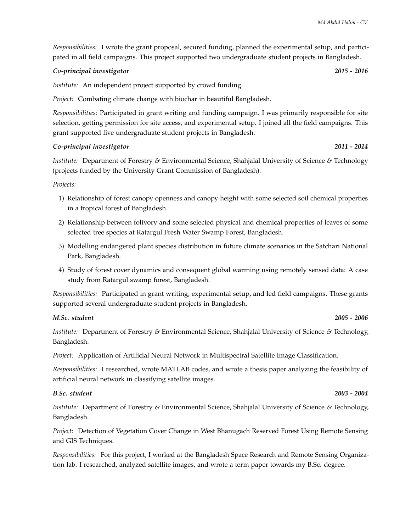*Responsibilities:* I wrote the grant proposal, secured funding, planned the experimental setup, and participated in all field campaigns. This project supported two undergraduate student projects in Bangladesh.

#### *Co-principal investigator 2015 - 2016*

*Institute:* An independent project supported by crowd funding.

*Project:* Combating climate change with biochar in beautiful Bangladesh.

*Responsibilities:* Participated in grant writing and funding campaign. I was primarily responsible for site selection, getting permission for site access, and experimental setup. I joined all the field campaigns. This grant supported five undergraduate student projects in Bangladesh.

#### *Co-principal investigator 2011 - 2014*

*Institute:* Department of Forestry *&* Environmental Science, Shahjalal University of Science *&* Technology (projects funded by the University Grant Commission of Bangladesh).

#### *Projects:*

- 1) Relationship of forest canopy openness and canopy height with some selected soil chemical properties in a tropical forest of Bangladesh.
- 2) Relationship between folivory and some selected physical and chemical properties of leaves of some selected tree species at Ratargul Fresh Water Swamp Forest, Bangladesh.
- 3) Modelling endangered plant species distribution in future climate scenarios in the Satchari National Park, Bangladesh.
- 4) Study of forest cover dynamics and consequent global warming using remotely sensed data: A case study from Ratargul swamp forest, Bangladesh.

*Responsibilities:* Participated in grant writing, experimental setup, and led field campaigns. These grants supported several undergraduate student projects in Bangladesh.

### *M.Sc. student 2005 - 2006*

*Institute:* Department of Forestry *&* Environmental Science, Shahjalal University of Science *&* Technology, Bangladesh.

*Project:* Application of Artificial Neural Network in Multispectral Satellite Image Classification.

*Responsibilities:* I researched, wrote MATLAB codes, and wrote a thesis paper analyzing the feasibility of artificial neural network in classifying satellite images.

### *B.Sc. student 2003 - 2004*

*Institute:* Department of Forestry *&* Environmental Science, Shahjalal University of Science *&* Technology, Bangladesh.

*Project:* Detection of Vegetation Cover Change in West Bhanugach Reserved Forest Using Remote Sensing and GIS Techniques.

*Responsibilities:* For this project, I worked at the Bangladesh Space Research and Remote Sensing Organization lab. I researched, analyzed satellite images, and wrote a term paper towards my B.Sc. degree.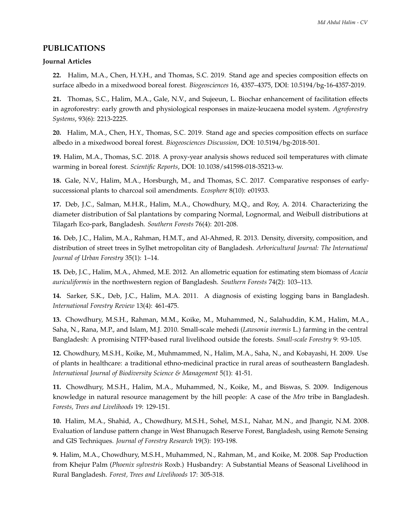## **PUBLICATIONS**

#### **Journal Articles**

**22.** Halim, M.A., Chen, H.Y.H., and Thomas, S.C. 2019. Stand age and species composition effects on surface albedo in a mixedwood boreal forest. *Biogeosciences* 16, 4357–4375, DOI: 10.5194/bg-16-4357-2019.

**21.** Thomas, S.C., Halim, M.A., Gale, N.V., and Sujeeun, L. Biochar enhancement of facilitation effects in agroforestry: early growth and physiological responses in maize-leucaena model system. *Agroforestry Systems*, 93(6): 2213-2225.

**20.** Halim, M.A., Chen, H.Y., Thomas, S.C. 2019. Stand age and species composition effects on surface albedo in a mixedwood boreal forest. *Biogeosciences Discussion*, DOI: 10.5194/bg-2018-501.

**19.** Halim, M.A., Thomas, S.C. 2018. A proxy-year analysis shows reduced soil temperatures with climate warming in boreal forest. *Scientific Reports*, DOI: 10.1038/s41598-018-35213-w.

**18.** Gale, N.V., Halim, M.A., Horsburgh, M., and Thomas, S.C. 2017. Comparative responses of earlysuccessional plants to charcoal soil amendments. *Ecosphere* 8(10): e01933.

**17.** Deb, J.C., Salman, M.H.R., Halim, M.A., Chowdhury, M.Q., and Roy, A. 2014. Characterizing the diameter distribution of Sal plantations by comparing Normal, Lognormal, and Weibull distributions at Tilagarh Eco-park, Bangladesh. *Southern Forests* 76(4): 201-208.

**16.** Deb, J.C., Halim, M.A., Rahman, H.M.T., and Al-Ahmed, R. 2013. Density, diversity, composition, and distribution of street trees in Sylhet metropolitan city of Bangladesh. *Arboricultural Journal: The International Journal of Urban Forestry* 35(1): 1–14.

**15.** Deb, J.C., Halim, M.A., Ahmed, M.E. 2012. An allometric equation for estimating stem biomass of *Acacia auriculiformis* in the northwestern region of Bangladesh. *Southern Forests* 74(2): 103–113.

**14.** Sarker, S.K., Deb, J.C., Halim, M.A. 2011. A diagnosis of existing logging bans in Bangladesh. *International Forestry Review* 13(4): 461-475.

**13.** Chowdhury, M.S.H., Rahman, M.M., Koike, M., Muhammed, N., Salahuddin, K.M., Halim, M.A., Saha, N., Rana, M.P., and Islam, M.J. 2010. Small-scale mehedi (*Lawsonia inermis* L.) farming in the central Bangladesh: A promising NTFP-based rural livelihood outside the forests. *Small-scale Forestry* 9: 93-105.

**12.** Chowdhury, M.S.H., Koike, M., Muhmammed, N., Halim, M.A., Saha, N., and Kobayashi, H. 2009. Use of plants in healthcare: a traditional ethno-medicinal practice in rural areas of southeastern Bangladesh. *International Journal of Biodiversity Science & Management* 5(1): 41-51.

**11.** Chowdhury, M.S.H., Halim, M.A., Muhammed, N., Koike, M., and Biswas, S. 2009. Indigenous knowledge in natural resource management by the hill people: A case of the *Mro* tribe in Bangladesh. *Forests, Trees and Livelihoods* 19: 129-151.

**10.** Halim, M.A., Shahid, A., Chowdhury, M.S.H., Sohel, M.S.I., Nahar, M.N., and Jhangir, N.M. 2008. Evaluation of landuse pattern change in West Bhanugach Reserve Forest, Bangladesh, using Remote Sensing and GIS Techniques. *Journal of Forestry Research* 19(3): 193-198.

**9.** Halim, M.A., Chowdhury, M.S.H., Muhammed, N., Rahman, M., and Koike, M. 2008. Sap Production from Khejur Palm (*Phoenix sylvestris* Roxb.) Husbandry: A Substantial Means of Seasonal Livelihood in Rural Bangladesh. *Forest, Trees and Livelihoods* 17: 305-318.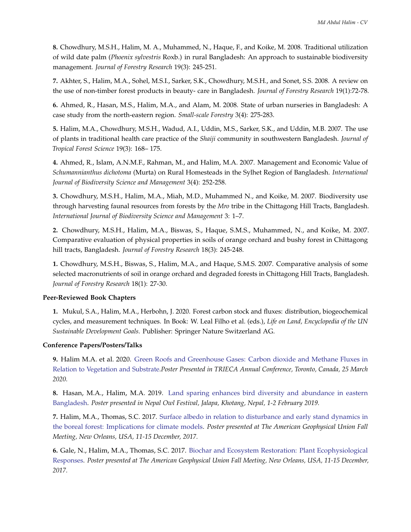**8.** Chowdhury, M.S.H., Halim, M. A., Muhammed, N., Haque, F., and Koike, M. 2008. Traditional utilization of wild date palm (*Phoenix sylvestris* Roxb.) in rural Bangladesh: An approach to sustainable biodiversity management. *Journal of Forestry Research* 19(3): 245-251.

**7.** Akhter, S., Halim, M.A., Sohel, M.S.I., Sarker, S.K., Chowdhury, M.S.H., and Sonet, S.S. 2008. A review on the use of non-timber forest products in beauty- care in Bangladesh. *Journal of Forestry Research* 19(1):72-78.

**6.** Ahmed, R., Hasan, M.S., Halim, M.A., and Alam, M. 2008. State of urban nurseries in Bangladesh: A case study from the north-eastern region. *Small-scale Forestry* 3(4): 275-283.

**5.** Halim, M.A., Chowdhury, M.S.H., Wadud, A.I., Uddin, M.S., Sarker, S.K., and Uddin, M.B. 2007. The use of plants in traditional health care practice of the *Shaiji* community in southwestern Bangladesh. *Journal of Tropical Forest Science* 19(3): 168– 175.

**4.** Ahmed, R., Islam, A.N.M.F., Rahman, M., and Halim, M.A. 2007. Management and Economic Value of *Schumannianthus dichotoma* (Murta) on Rural Homesteads in the Sylhet Region of Bangladesh. *International Journal of Biodiversity Science and Management* 3(4): 252-258.

**3.** Chowdhury, M.S.H., Halim, M.A., Miah, M.D., Muhammed N., and Koike, M. 2007. Biodiversity use through harvesting faunal resources from forests by the *Mro* tribe in the Chittagong Hill Tracts, Bangladesh. *International Journal of Biodiversity Science and Management* 3: 1–7.

**2.** Chowdhury, M.S.H., Halim, M.A., Biswas, S., Haque, S.M.S., Muhammed, N., and Koike, M. 2007. Comparative evaluation of physical properties in soils of orange orchard and bushy forest in Chittagong hill tracts, Bangladesh. *Journal of Forestry Research* 18(3): 245-248.

**1.** Chowdhury, M.S.H., Biswas, S., Halim, M.A., and Haque, S.M.S. 2007. Comparative analysis of some selected macronutrients of soil in orange orchard and degraded forests in Chittagong Hill Tracts, Bangladesh. *Journal of Forestry Research* 18(1): 27-30.

#### **Peer-Reviewed Book Chapters**

**1.** Mukul, S.A., Halim, M.A., Herbohn, J. 2020. Forest carbon stock and fluxes: distribution, biogeochemical cycles, and measurement techniques. In Book: W. Leal Filho et al. (eds.), *Life on Land, Encyclopedia of the UN Sustainable Development Goals.* Publisher: Springer Nature Switzerland AG.

### **Conference Papers/Posters/Talks**

**9.** Halim M.A. et al. 2020. [Green Roofs and Greenhouse Gases: Carbon dioxide and Methane Fluxes in](https://trieca.com/) [Relation to Vegetation and Substrate.](https://trieca.com/)*Poster Presented in TRIECA Annual Conference, Toronto, Canada, 25 March 2020.*

**8.** Hasan, M.A., Halim, M.A. 2019. [Land sparing enhances bird diversity and abundance in eastern](http://www.fonnepal.org/call-for-posters-at-nepal-owl-festival-2019) [Bangladesh.](http://www.fonnepal.org/call-for-posters-at-nepal-owl-festival-2019) *Poster presented in Nepal Owl Festival, Jalapa, Khotang, Nepal, 1-2 February 2019.*

**7.** Halim, M.A., Thomas, S.C. 2017. [Surface albedo in relation to disturbance and early stand dynamics in](https://agu.confex.com/agu/fm17/meetingapp.cgi/Paper/244741) [the boreal forest: Implications for climate models.](https://agu.confex.com/agu/fm17/meetingapp.cgi/Paper/244741) *Poster presented at The American Geophysical Union Fall Meeting, New Orleans, USA, 11-15 December, 2017.*

**6.** Gale, N., Halim, M.A., Thomas, S.C. 2017. [Biochar and Ecosystem Restoration: Plant Ecophysiological](https://agu.confex.com/agu/fm17/meetingapp.cgi/Paper/236528) [Responses.](https://agu.confex.com/agu/fm17/meetingapp.cgi/Paper/236528) *Poster presented at The American Geophysical Union Fall Meeting, New Orleans, USA, 11-15 December, 2017.*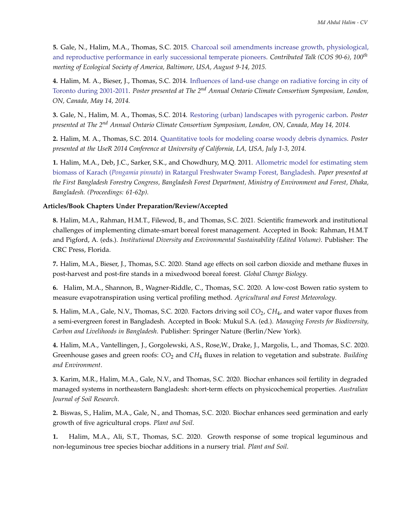**5.** Gale, N., Halim, M.A., Thomas, S.C. 2015. [Charcoal soil amendments increase growth, physiological,](https://eco.confex.com/eco/2015/webprogram/Paper56730.html) [and reproductive performance in early successional temperate pioneers.](https://eco.confex.com/eco/2015/webprogram/Paper56730.html) *Contributed Talk (COS 90-6), 100th meeting of Ecological Society of America, Baltimore, USA, August 9-14, 2015.*

**4.** Halim, M. A., Bieser, J., Thomas, S.C. 2014. [Influences of land-use change on radiative forcing in city of](https://climateconnections.ca/wp-content/uploads/2015/05/Halim_Md.-et.-al.pdf) [Toronto during 2001-2011.](https://climateconnections.ca/wp-content/uploads/2015/05/Halim_Md.-et.-al.pdf) *Poster presented at The 2nd Annual Ontario Climate Consortium Symposium, London, ON, Canada, May 14, 2014.*

**3.** Gale, N., Halim, M. A., Thomas, S.C. 2014. [Restoring \(urban\) landscapes with pyrogenic carbon.](https://climateconnections.ca/wp-content/uploads/2015/05/Gale_Nigel.pdf) *Poster presented at The 2nd Annual Ontario Climate Consortium Symposium, London, ON, Canada, May 14, 2014.*

**2.** Halim, M. A., Thomas, S.C. 2014. [Quantitative tools for modeling coarse woody debris dynamics.](http://user2014.r-project.org/abstracts/posters/186_Halim.pdf) *Poster presented at the UseR 2014 Conference at University of California, LA, USA, July 1-3, 2014.*

**1.** Halim, M.A., Deb, J.C., Sarker, S.K., and Chowdhury, M.Q. 2011. [Allometric model for estimating stem](https://www.researchgate.net/publication/282673223_Forestry_congressFinal) biomass of Karach (*Pongamia pinnata*[\) in Ratargul Freshwater Swamp Forest, Bangladesh.](https://www.researchgate.net/publication/282673223_Forestry_congressFinal) *Paper presented at the First Bangladesh Forestry Congress, Bangladesh Forest Department, Ministry of Environment and Forest, Dhaka, Bangladesh. (Proceedings: 61-62p).*

#### **Articles/Book Chapters Under Preparation/Review/Accepted**

**8.** Halim, M.A., Rahman, H.M.T., Filewod, B., and Thomas, S.C. 2021. Scientific framework and institutional challenges of implementing climate-smart boreal forest management. Accepted in Book: Rahman, H.M.T and Pigford, A. (eds.). *Institutional Diversity and Environmental Sustainability (Edited Volume)*. Publisher: The CRC Press, Florida.

**7.** Halim, M.A., Bieser, J., Thomas, S.C. 2020. Stand age effects on soil carbon dioxide and methane fluxes in post-harvest and post-fire stands in a mixedwood boreal forest. *Global Change Biology*.

**6.** Halim, M.A., Shannon, B., Wagner-Riddle, C., Thomas, S.C. 2020. A low-cost Bowen ratio system to measure evapotranspiration using vertical profiling method. *Agricultural and Forest Meteorology*.

**5.** Halim, M.A., Gale, N.V., Thomas, S.C. 2020. Factors driving soil *CO*2, *CH*4, and water vapor fluxes from a semi-evergreen forest in Bangladesh. Accepted in Book: Mukul S.A. (ed.). *Managing Forests for Biodiversity, Carbon and Livelihoods in Bangladesh*. Publisher: Springer Nature (Berlin/New York).

**4.** Halim, M.A., Vantellingen, J., Gorgolewski, A.S., Rose,W., Drake, J., Margolis, L., and Thomas, S.C. 2020. Greenhouse gases and green roofs: *CO*<sup>2</sup> and *CH*<sup>4</sup> fluxes in relation to vegetation and substrate. *Building and Environment*.

**3.** Karim, M.R., Halim, M.A., Gale, N.V., and Thomas, S.C. 2020. Biochar enhances soil fertility in degraded managed systems in northeastern Bangladesh: short-term effects on physicochemical properties. *Australian Journal of Soil Research*.

**2.** Biswas, S., Halim, M.A., Gale, N., and Thomas, S.C. 2020. Biochar enhances seed germination and early growth of five agricultural crops. *Plant and Soil*.

**1.** Halim, M.A., Ali, S.T., Thomas, S.C. 2020. Growth response of some tropical leguminous and non-leguminous tree species biochar additions in a nursery trial. *Plant and Soil*.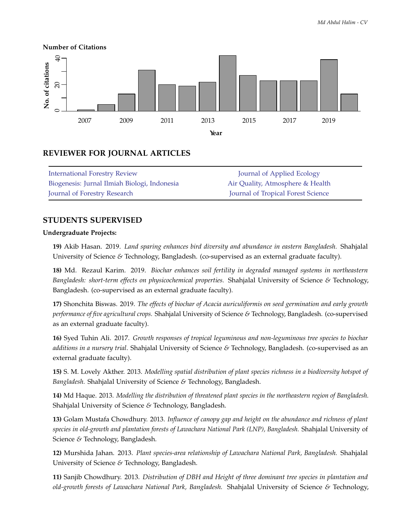

# **REVIEWER FOR JOURNAL ARTICLES**

| <b>International Forestry Review</b>         | Journal of Applied Ecology                |
|----------------------------------------------|-------------------------------------------|
| Biogenesis: Jurnal Ilmiah Biologi, Indonesia | Air Quality, Atmosphere & Health          |
| Journal of Forestry Research                 | <b>Journal of Tropical Forest Science</b> |

# **STUDENTS SUPERVISED**

#### **Undergraduate Projects:**

**19)** Akib Hasan. 2019. *Land sparing enhances bird diversity and abundance in eastern Bangladesh.* Shahjalal University of Science *&* Technology, Bangladesh. (co-supervised as an external graduate faculty).

**18)** Md. Rezaul Karim. 2019. *Biochar enhances soil fertility in degraded managed systems in northeastern Bangladesh: short-term effects on physicochemical properties.* Shahjalal University of Science *&* Technology, Bangladesh. (co-supervised as an external graduate faculty).

**17)** Shonchita Biswas. 2019. *The effects of biochar of Acacia auriculiformis on seed germination and early growth performance of five agricultural crops.* Shahjalal University of Science *&* Technology, Bangladesh. (co-supervised as an external graduate faculty).

**16)** Syed Tuhin Ali. 2017. *Growth responses of tropical leguminous and non-leguminous tree species to biochar additions in a nursery trial*. Shahjalal University of Science *&* Technology, Bangladesh. (co-supervised as an external graduate faculty).

**15)** S. M. Lovely Akther. 2013. *Modelling spatial distribution of plant species richness in a biodiversity hotspot of Bangladesh.* Shahjalal University of Science *&* Technology, Bangladesh.

**14)** Md Haque. 2013. *Modelling the distribution of threatened plant species in the northeastern region of Bangladesh.* Shahjalal University of Science *&* Technology, Bangladesh.

**13)** Golam Mustafa Chowdhury. 2013. *Influence of canopy gap and height on the abundance and richness of plant species in old-growth and plantation forests of Lawachara National Park (LNP), Bangladesh.* Shahjalal University of Science *&* Technology, Bangladesh.

**12)** Murshida Jahan. 2013. *Plant species-area relationship of Lawachara National Park, Bangladesh.* Shahjalal University of Science *&* Technology, Bangladesh.

**11)** Sanjib Chowdhury. 2013. *Distribution of DBH and Height of three dominant tree species in plantation and old-growth forests of Lawachara National Park, Bangladesh.* Shahjalal University of Science *&* Technology,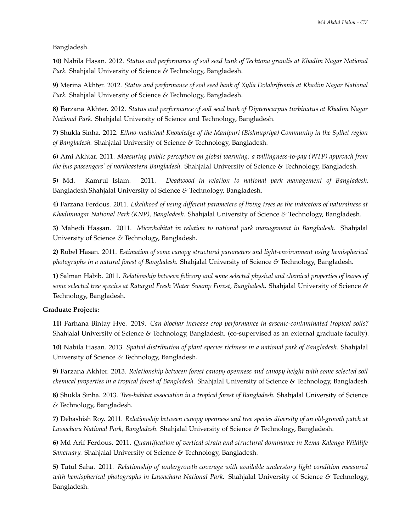Bangladesh.

**10)** Nabila Hasan. 2012. *Status and performance of soil seed bank of Techtona grandis at Khadim Nagar National Park.* Shahjalal University of Science *&* Technology, Bangladesh.

**9)** Merina Akhter. 2012. *Status and performance of soil seed bank of Xylia Dolabrifromis at Khadim Nagar National Park.* Shahjalal University of Science *&* Technology, Bangladesh.

**8)** Farzana Akhter. 2012. *Status and performance of soil seed bank of Dipterocarpus turbinatus at Khadim Nagar National Park.* Shahjalal University of Science and Technology, Bangladesh.

**7)** Shukla Sinha. 2012. *Ethno-medicinal Knowledge of the Manipuri (Bishnupriya) Community in the Sylhet region of Bangladesh.* Shahjalal University of Science *&* Technology, Bangladesh.

**6)** Ami Akhtar. 2011. *Measuring public perception on global warming: a willingness-to-pay (WTP) approach from the bus passengers' of northeastern Bangladesh.* Shahjalal University of Science *&* Technology, Bangladesh.

**5)** Md. Kamrul Islam. 2011. *Deadwood in relation to national park management of Bangladesh.* Bangladesh.Shahjalal University of Science *&* Technology, Bangladesh.

**4)** Farzana Ferdous. 2011. *Likelihood of using different parameters of living trees as the indicators of naturalness at Khadimnagar National Park (KNP), Bangladesh.* Shahjalal University of Science *&* Technology, Bangladesh.

**3)** Mahedi Hassan. 2011. *Microhabitat in relation to national park management in Bangladesh.* Shahjalal University of Science *&* Technology, Bangladesh.

**2)** Rubel Hasan. 2011. *Estimation of some canopy structural parameters and light-environment using hemispherical photographs in a natural forest of Bangladesh.* Shahjalal University of Science *&* Technology, Bangladesh.

**1)** Salman Habib. 2011. *Relationship between folivory and some selected physical and chemical properties of leaves of some selected tree species at Ratargul Fresh Water Swamp Forest, Bangladesh.* Shahjalal University of Science *&* Technology, Bangladesh.

#### **Graduate Projects:**

**11)** Farhana Bintay Hye. 2019. *Can biochar increase crop performance in arsenic-contaminated tropical soils?* Shahjalal University of Science *&* Technology, Bangladesh. (co-supervised as an external graduate faculty).

**10)** Nabila Hasan. 2013. *Spatial distribution of plant species richness in a national park of Bangladesh.* Shahjalal University of Science *&* Technology, Bangladesh.

**9)** Farzana Akhter. 2013. *Relationship between forest canopy openness and canopy height with some selected soil chemical properties in a tropical forest of Bangladesh.* Shahjalal University of Science *&* Technology, Bangladesh.

**8)** Shukla Sinha. 2013. *Tree-habitat association in a tropical forest of Bangladesh.* Shahjalal University of Science *&* Technology, Bangladesh.

**7)** Debashish Roy. 2011. *Relationship between canopy openness and tree species diversity of an old-growth patch at Lawachara National Park, Bangladesh.* Shahjalal University of Science *&* Technology, Bangladesh.

**6)** Md Arif Ferdous. 2011. *Quantification of vertical strata and structural dominance in Rema-Kalenga Wildlife Sanctuary.* Shahjalal University of Science *&* Technology, Bangladesh.

**5)** Tutul Saha. 2011. *Relationship of undergrowth coverage with available understory light condition measured with hemispherical photographs in Lawachara National Park.* Shahjalal University of Science *&* Technology, Bangladesh.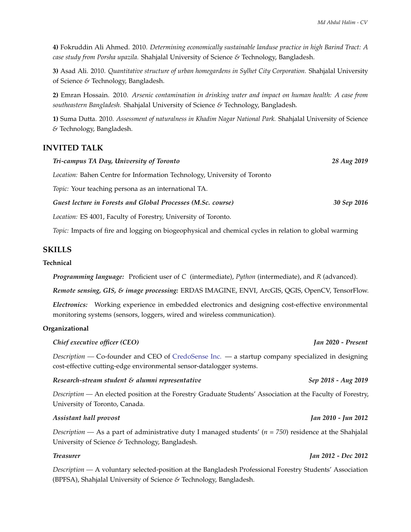**4)** Fokruddin Ali Ahmed. 2010. *Determining economically sustainable landuse practice in high Barind Tract: A case study from Porsha upazila.* Shahjalal University of Science *&* Technology, Bangladesh.

**3)** Asad Ali. 2010. *Quantitative structure of urban homegardens in Sylhet City Corporation.* Shahjalal University of Science *&* Technology, Bangladesh.

**2)** Emran Hossain. 2010. *Arsenic contamination in drinking water and impact on human health: A case from southeastern Bangladesh.* Shahjalal University of Science *&* Technology, Bangladesh.

**1)** Suma Dutta. 2010. *Assessment of naturalness in Khadim Nagar National Park.* Shahjalal University of Science *&* Technology, Bangladesh.

# **INVITED TALK**

| Tri-campus TA Day, University of Toronto                                        | 28 Aug 2019 |
|---------------------------------------------------------------------------------|-------------|
| <i>Location:</i> Bahen Centre for Information Technology, University of Toronto |             |
| Topic: Your teaching persona as an international TA.                            |             |
| Guest lecture in Forests and Global Processes (M.Sc. course)                    | 30 Sep 2016 |
| Location: ES 4001, Faculty of Forestry, University of Toronto.                  |             |

*Topic:* Impacts of fire and logging on biogeophysical and chemical cycles in relation to global warming

### **SKILLS**

### **Technical**

*Programming language:* Proficient user of *C* (intermediate), *Python* (intermediate), and *R* (advanced).

*Remote sensing, GIS, & image processing:* ERDAS IMAGINE, ENVI, ArcGIS, QGIS, OpenCV, TensorFlow.

*Electronics:* Working experience in embedded electronics and designing cost-effective environmental monitoring systems (sensors, loggers, wired and wireless communication).

#### **Organizational**

#### *Chief executive officer (CEO) Jan 2020 - Present*

*Description* — Co-founder and CEO of [CredoSense Inc.](https://www.credosense.com) — a startup company specialized in designing cost-effective cutting-edge environmental sensor-datalogger systems.

### *Research-stream student & alumni representative Sep 2018 - Aug 2019*

*Description —* An elected position at the Forestry Graduate Students' Association at the Faculty of Forestry, University of Toronto, Canada.

#### *Assistant hall provost Jan 2010 - Jun 2012*

*Description —* As a part of administrative duty I managed students' (*n = 750*) residence at the Shahjalal University of Science *&* Technology, Bangladesh.

*Description —* A voluntary selected-position at the Bangladesh Professional Forestry Students' Association (BPFSA), Shahjalal University of Science *&* Technology, Bangladesh.

#### *Treasurer Jan 2012 - Dec 2012*